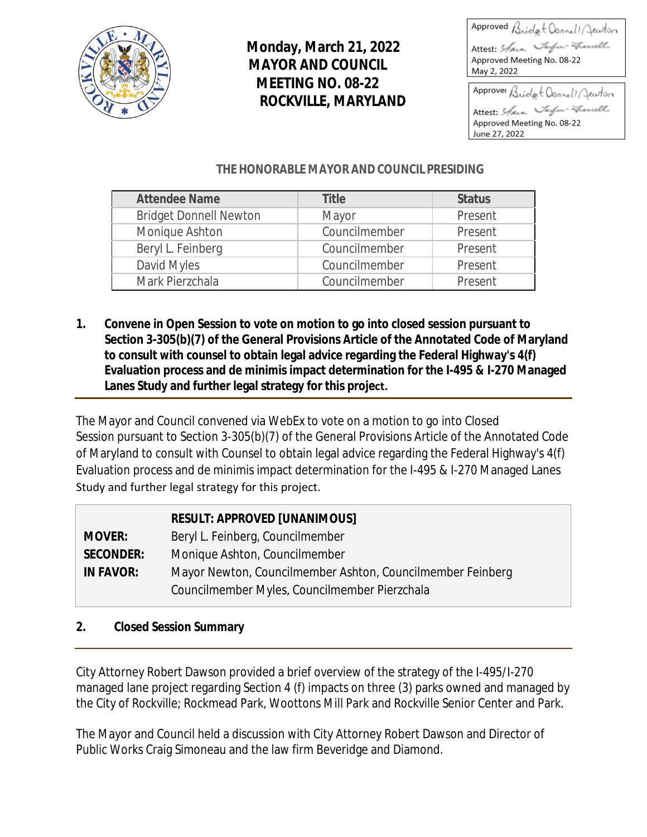

# **Monday, March 21, 2022 MAYOR AND COUNCIL MEETING NO. 08-22 ROCKVILLE, MARYLAND**

| Approved Bridgt Connell Jewton      |
|-------------------------------------|
| - Frenell<br>Attest: Saint Taylor = |
| May 2, 2022                         |
| Approver Bridget Connell Jewton     |
|                                     |

Attest: Stara Tafa-Frenell Approved Meeting No. 08-22 June 27, 2022

## **THE HONORABLE MAYOR AND COUNCIL PRESIDING**

| <b>Attendee Name</b>          | <b>Title</b>  | <b>Status</b> |
|-------------------------------|---------------|---------------|
| <b>Bridget Donnell Newton</b> | Mayor         | Present       |
| Monique Ashton                | Councilmember | Present       |
| Beryl L. Feinberg             | Councilmember | Present       |
| David Myles                   | Councilmember | Present       |
| Mark Pierzchala               | Councilmember | Present       |

**1. Convene in Open Session to vote on motion to go into closed session pursuant to Section 3-305(b)(7) of the General Provisions Article of the Annotated Code of Maryland to consult with counsel to obtain legal advice regarding the Federal Highway's 4(f) Evaluation process and de minimis impact determination for the I-495 & I-270 Managed Lanes Study and further legal strategy for this project.** 

The Mayor and Council convened via WebEx to vote on a motion to go into Closed Session pursuant to Section 3-305(b)(7) of the General Provisions Article of the Annotated Code of Maryland to consult with Counsel to obtain legal advice regarding the Federal Highway's 4(f) Evaluation process and de minimis impact determination for the I-495 & I-270 Managed Lanes Study and further legal strategy for this project.

|                  | <b>RESULT: APPROVED [UNANIMOUS]</b>                        |
|------------------|------------------------------------------------------------|
| <b>MOVER:</b>    | Beryl L. Feinberg, Councilmember                           |
| <b>SECONDER:</b> | Monique Ashton, Councilmember                              |
| <b>IN FAVOR:</b> | Mayor Newton, Councilmember Ashton, Councilmember Feinberg |
|                  | Councilmember Myles, Councilmember Pierzchala              |

## **2. Closed Session Summary**

City Attorney Robert Dawson provided a brief overview of the strategy of the I-495/I-270 managed lane project regarding Section 4 (f) impacts on three (3) parks owned and managed by the City of Rockville; Rockmead Park, Woottons Mill Park and Rockville Senior Center and Park.

The Mayor and Council held a discussion with City Attorney Robert Dawson and Director of Public Works Craig Simoneau and the law firm Beveridge and Diamond.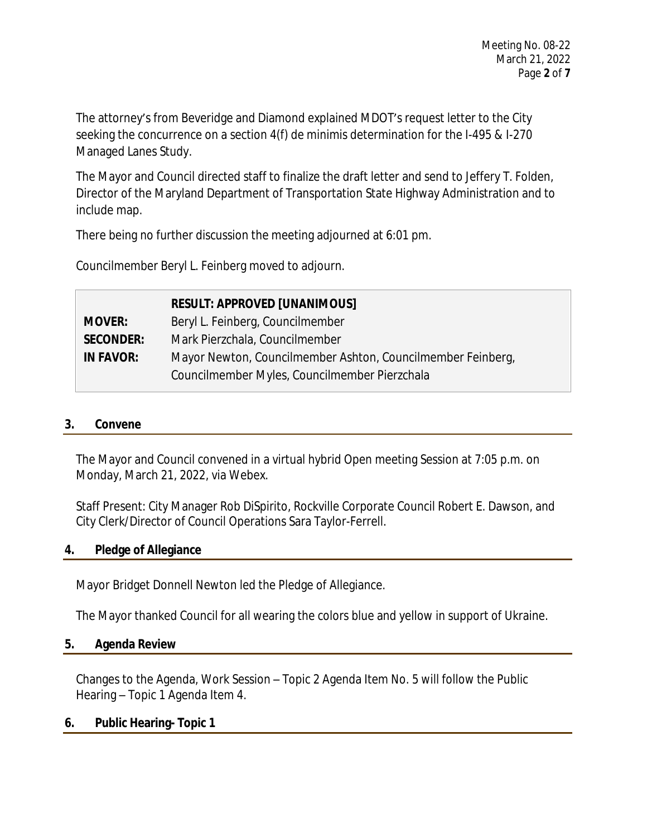The attorney's from Beveridge and Diamond explained MDOT's request letter to the City seeking the concurrence on a section 4(f) de minimis determination for the I-495 & I-270 Managed Lanes Study.

The Mayor and Council directed staff to finalize the draft letter and send to Jeffery T. Folden, Director of the Maryland Department of Transportation State Highway Administration and to include map.

There being no further discussion the meeting adjourned at 6:01 pm.

Councilmember Beryl L. Feinberg moved to adjourn.

|                  | <b>RESULT: APPROVED [UNANIMOUS]</b>                         |
|------------------|-------------------------------------------------------------|
| <b>MOVER:</b>    | Beryl L. Feinberg, Councilmember                            |
| <b>SECONDER:</b> | Mark Pierzchala, Councilmember                              |
| <b>IN FAVOR:</b> | Mayor Newton, Councilmember Ashton, Councilmember Feinberg, |
|                  | Councilmember Myles, Councilmember Pierzchala               |

#### **3. Convene**

The Mayor and Council convened in a virtual hybrid Open meeting Session at 7:05 p.m. on Monday, March 21, 2022, via Webex.

Staff Present: City Manager Rob DiSpirito, Rockville Corporate Council Robert E. Dawson, and City Clerk/Director of Council Operations Sara Taylor-Ferrell.

#### **4. Pledge of Allegiance**

Mayor Bridget Donnell Newton led the Pledge of Allegiance.

The Mayor thanked Council for all wearing the colors blue and yellow in support of Ukraine.

#### **5. Agenda Review**

Changes to the Agenda, Work Session – Topic 2 Agenda Item No. 5 will follow the Public Hearing – Topic 1 Agenda Item 4.

#### **6. Public Hearing- Topic 1**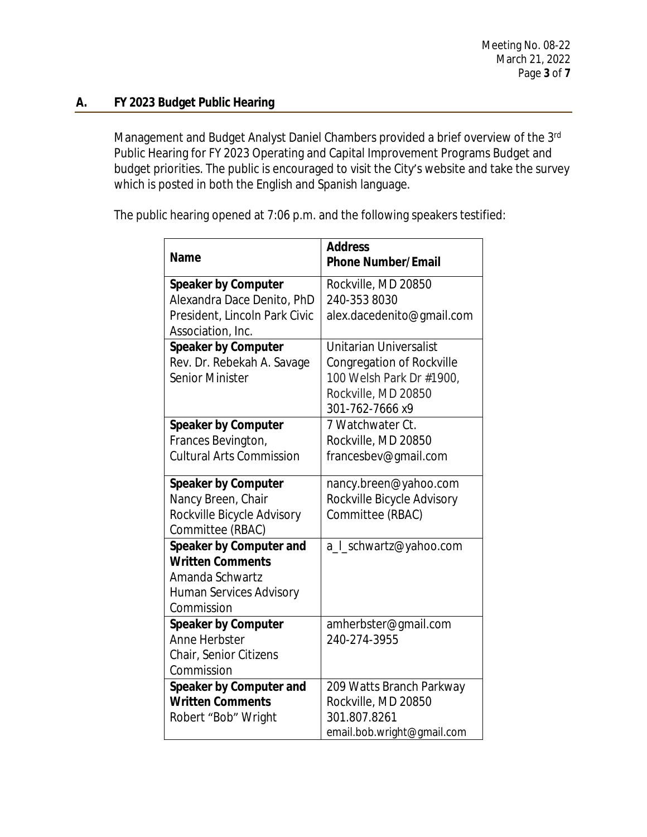## **A. FY 2023 Budget Public Hearing**

Management and Budget Analyst Daniel Chambers provided a brief overview of the 3<sup>rd</sup> Public Hearing for FY 2023 Operating and Capital Improvement Programs Budget and budget priorities. The public is encouraged to visit the City's website and take the survey which is posted in both the English and Spanish language.

The public hearing opened at 7:06 p.m. and the following speakers testified:

|                                 | <b>Address</b>             |
|---------------------------------|----------------------------|
| <b>Name</b>                     | <b>Phone Number/Email</b>  |
| <b>Speaker by Computer</b>      | Rockville, MD 20850        |
| Alexandra Dace Denito, PhD      | 240-353 8030               |
| President, Lincoln Park Civic   | alex.dacedenito@gmail.com  |
| Association, Inc.               |                            |
| <b>Speaker by Computer</b>      | Unitarian Universalist     |
| Rev. Dr. Rebekah A. Savage      | Congregation of Rockville  |
| Senior Minister                 | 100 Welsh Park Dr #1900,   |
|                                 | Rockville, MD 20850        |
|                                 | 301-762-7666 х9            |
| <b>Speaker by Computer</b>      | 7 Watchwater Ct.           |
| Frances Bevington,              | Rockville, MD 20850        |
| <b>Cultural Arts Commission</b> | francesbev@gmail.com       |
| <b>Speaker by Computer</b>      | nancy.breen@yahoo.com      |
| Nancy Breen, Chair              | Rockville Bicycle Advisory |
| Rockville Bicycle Advisory      | Committee (RBAC)           |
| Committee (RBAC)                |                            |
| Speaker by Computer and         | a_I_schwartz@yahoo.com     |
| <b>Written Comments</b>         |                            |
| Amanda Schwartz                 |                            |
| <b>Human Services Advisory</b>  |                            |
| Commission                      |                            |
| <b>Speaker by Computer</b>      | amherbster@gmail.com       |
| Anne Herbster                   | 240-274-3955               |
| Chair, Senior Citizens          |                            |
| Commission                      |                            |
| Speaker by Computer and         | 209 Watts Branch Parkway   |
| <b>Written Comments</b>         | Rockville, MD 20850        |
| Robert "Bob" Wright             | 301.807.8261               |
|                                 | email.bob.wright@gmail.com |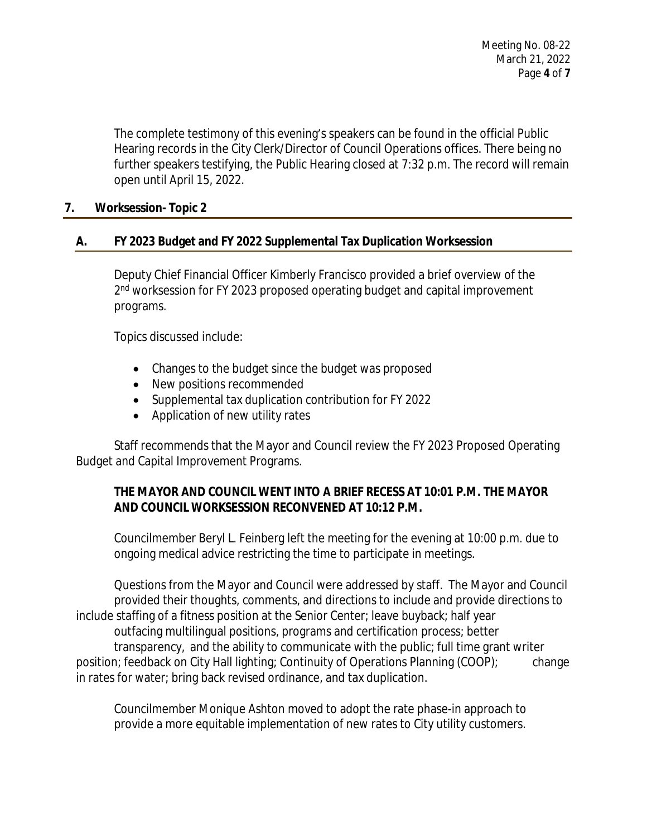The complete testimony of this evening's speakers can be found in the official Public Hearing records in the City Clerk/Director of Council Operations offices. There being no further speakers testifying, the Public Hearing closed at 7:32 p.m. The record will remain open until April 15, 2022.

## **7. Worksession- Topic 2**

## **A. FY 2023 Budget and FY 2022 Supplemental Tax Duplication Worksession**

Deputy Chief Financial Officer Kimberly Francisco provided a brief overview of the 2<sup>nd</sup> worksession for FY 2023 proposed operating budget and capital improvement programs.

Topics discussed include:

- Changes to the budget since the budget was proposed
- New positions recommended
- Supplemental tax duplication contribution for FY 2022
- Application of new utility rates

Staff recommends that the Mayor and Council review the FY 2023 Proposed Operating Budget and Capital Improvement Programs.

## **THE MAYOR AND COUNCIL WENT INTO A BRIEF RECESS AT 10:01 P.M. THE MAYOR AND COUNCIL WORKSESSION RECONVENED AT 10:12 P.M.**

Councilmember Beryl L. Feinberg left the meeting for the evening at 10:00 p.m. due to ongoing medical advice restricting the time to participate in meetings.

Questions from the Mayor and Council were addressed by staff. The Mayor and Council provided their thoughts, comments, and directions to include and provide directions to include staffing of a fitness position at the Senior Center; leave buyback; half year outfacing multilingual positions, programs and certification process; better transparency, and the ability to communicate with the public; full time grant writer position; feedback on City Hall lighting; Continuity of Operations Planning (COOP); change in rates for water; bring back revised ordinance, and tax duplication.

Councilmember Monique Ashton moved to adopt the rate phase-in approach to provide a more equitable implementation of new rates to City utility customers.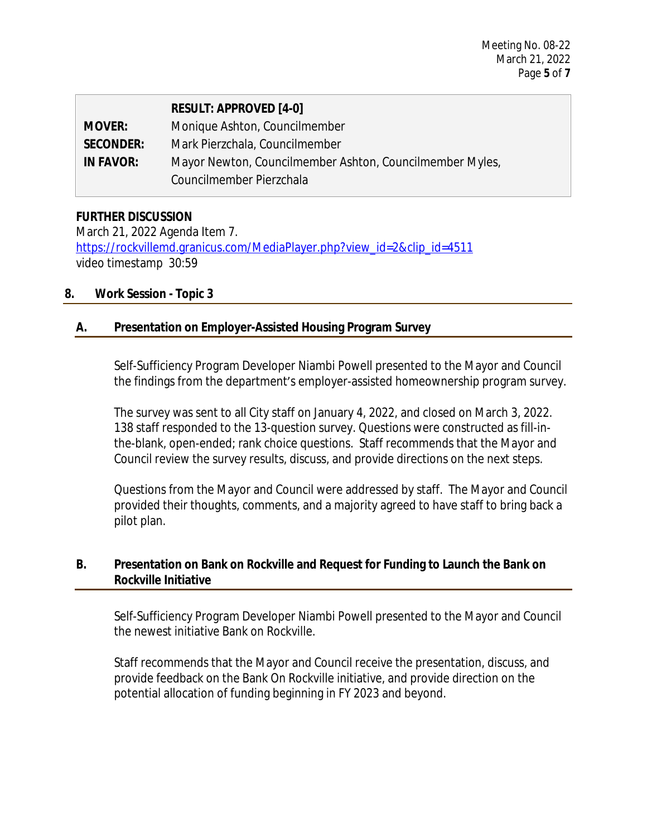|                  | <b>RESULT: APPROVED [4-0]</b>                            |
|------------------|----------------------------------------------------------|
| <b>MOVER:</b>    | Monique Ashton, Councilmember                            |
| <b>SECONDER:</b> | Mark Pierzchala, Councilmember                           |
| <b>IN FAVOR:</b> | Mayor Newton, Councilmember Ashton, Councilmember Myles, |
|                  | Councilmember Pierzchala                                 |

## **FURTHER DISCUSSION**

March 21, 2022 Agenda Item 7. [https://rockvillemd.granicus.com/MediaPlayer.php?view\\_id=2&clip\\_id=4511](https://rockvillemd.granicus.com/MediaPlayer.php?view_id=2&clip_id=4511) [video timestamp 30:59](https://rockvillemd.granicus.com/MediaPlayer.php?view_id=2&clip_id=4511)

## **[8.](https://rockvillemd.granicus.com/MediaPlayer.php?view_id=2&clip_id=4511) [Work Session - Topic 3](https://rockvillemd.granicus.com/MediaPlayer.php?view_id=2&clip_id=4511)**

## **[A.](https://rockvillemd.granicus.com/MediaPlayer.php?view_id=2&clip_id=4511) [Presentation on Employer-Assisted Housing Program Survey](https://rockvillemd.granicus.com/MediaPlayer.php?view_id=2&clip_id=4511)**

[Self-Sufficiency Program Developer Niambi Powell presented to the Mayor and Council](https://rockvillemd.granicus.com/MediaPlayer.php?view_id=2&clip_id=4511) [the findings from the department](https://rockvillemd.granicus.com/MediaPlayer.php?view_id=2&clip_id=4511)['](https://rockvillemd.granicus.com/MediaPlayer.php?view_id=2&clip_id=4511)[s employer-assisted homeownership program survey.](https://rockvillemd.granicus.com/MediaPlayer.php?view_id=2&clip_id=4511)

[The survey was sent to all City staff](https://rockvillemd.granicus.com/MediaPlayer.php?view_id=2&clip_id=4511) [on January 4, 2022, and closed on March 3, 2022.](https://rockvillemd.granicus.com/MediaPlayer.php?view_id=2&clip_id=4511)  [138 staff responded to the 13-question](https://rockvillemd.granicus.com/MediaPlayer.php?view_id=2&clip_id=4511) [survey. Questions were constructed as fill-in](https://rockvillemd.granicus.com/MediaPlayer.php?view_id=2&clip_id=4511)[the-blank, open-ended; rank choice questions. Staff recommends that the Mayor and](https://rockvillemd.granicus.com/MediaPlayer.php?view_id=2&clip_id=4511)  [Council review the survey results, discuss, and provide directions on the next steps.](https://rockvillemd.granicus.com/MediaPlayer.php?view_id=2&clip_id=4511)

[Questions from the Mayor and](https://rockvillemd.granicus.com/MediaPlayer.php?view_id=2&clip_id=4511) [Council were addressed by staff. The Mayor and Council](https://rockvillemd.granicus.com/MediaPlayer.php?view_id=2&clip_id=4511) [provided their thoughts, comments, and a majority agreed](https://rockvillemd.granicus.com/MediaPlayer.php?view_id=2&clip_id=4511) [to have staff to bring back a](https://rockvillemd.granicus.com/MediaPlayer.php?view_id=2&clip_id=4511)  [pilot plan.](https://rockvillemd.granicus.com/MediaPlayer.php?view_id=2&clip_id=4511)

## **[B.](https://rockvillemd.granicus.com/MediaPlayer.php?view_id=2&clip_id=4511) [Presentation on Bank on Rockville and Request for Funding to Launch the Bank on](https://rockvillemd.granicus.com/MediaPlayer.php?view_id=2&clip_id=4511)  [Rockville Initiative](https://rockvillemd.granicus.com/MediaPlayer.php?view_id=2&clip_id=4511)**

[Self-Sufficiency Program Developer Niambi Powell presented to the Mayor and Council](https://rockvillemd.granicus.com/MediaPlayer.php?view_id=2&clip_id=4511) [the newest initiative Bank on Rockville.](https://rockvillemd.granicus.com/MediaPlayer.php?view_id=2&clip_id=4511)

[Staff recommends that the Mayor and Council receive the presentation, discuss, and](https://rockvillemd.granicus.com/MediaPlayer.php?view_id=2&clip_id=4511) [provide feedback on the Bank On Rockville initiative, and provide direction on the](https://rockvillemd.granicus.com/MediaPlayer.php?view_id=2&clip_id=4511)  [potential](https://rockvillemd.granicus.com/MediaPlayer.php?view_id=2&clip_id=4511) [allocation of funding beginning in FY 2023 and beyond.](https://rockvillemd.granicus.com/MediaPlayer.php?view_id=2&clip_id=4511)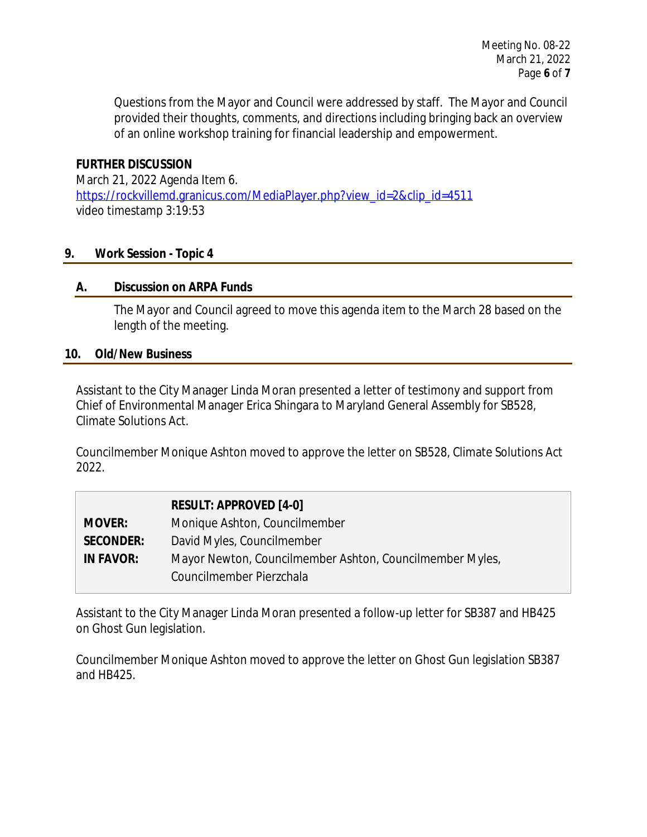Questions from the Mayor and Council were addressed by staff. The Mayor and Council provided their thoughts, comments, and directions including bringing back an overview of an online workshop training for financial leadership and empowerment.

## **FURTHER DISCUSSION**

March 21, 2022 Agenda Item 6. [https://rockvillemd.granicus.com/MediaPlayer.php?view\\_id=2&clip\\_id=4511](https://rockvillemd.granicus.com/MediaPlayer.php?view_id=2&clip_id=4511) [video timestamp 3:19:53](https://rockvillemd.granicus.com/MediaPlayer.php?view_id=2&clip_id=4511)

## **[9.](https://rockvillemd.granicus.com/MediaPlayer.php?view_id=2&clip_id=4511) [Work Session - Topic 4](https://rockvillemd.granicus.com/MediaPlayer.php?view_id=2&clip_id=4511)**

## **[A.](https://rockvillemd.granicus.com/MediaPlayer.php?view_id=2&clip_id=4511) [Discussion on ARPA Funds](https://rockvillemd.granicus.com/MediaPlayer.php?view_id=2&clip_id=4511)**

[The Mayor and Council agreed to move this agenda item to the March 28 based on](https://rockvillemd.granicus.com/MediaPlayer.php?view_id=2&clip_id=4511) [the](https://rockvillemd.granicus.com/MediaPlayer.php?view_id=2&clip_id=4511)  [length of the meeting.](https://rockvillemd.granicus.com/MediaPlayer.php?view_id=2&clip_id=4511)

#### **[10.](https://rockvillemd.granicus.com/MediaPlayer.php?view_id=2&clip_id=4511) [Old/New Business](https://rockvillemd.granicus.com/MediaPlayer.php?view_id=2&clip_id=4511)**

[Assistant to the City Manager Linda Moran presented a](https://rockvillemd.granicus.com/MediaPlayer.php?view_id=2&clip_id=4511) [letter of testimony and support from](https://rockvillemd.granicus.com/MediaPlayer.php?view_id=2&clip_id=4511)  [Chief of Environmental Manager Erica Shingara to Maryland](https://rockvillemd.granicus.com/MediaPlayer.php?view_id=2&clip_id=4511) [General Assembly](https://rockvillemd.granicus.com/MediaPlayer.php?view_id=2&clip_id=4511) [for](https://rockvillemd.granicus.com/MediaPlayer.php?view_id=2&clip_id=4511) [SB528,](https://rockvillemd.granicus.com/MediaPlayer.php?view_id=2&clip_id=4511)  [Climate Solutions](https://rockvillemd.granicus.com/MediaPlayer.php?view_id=2&clip_id=4511) [Act.](https://rockvillemd.granicus.com/MediaPlayer.php?view_id=2&clip_id=4511)

[Councilmember Monique Ashton moved to approve the letter on SB528, Climate Solutions Act](https://rockvillemd.granicus.com/MediaPlayer.php?view_id=2&clip_id=4511) [2022.](https://rockvillemd.granicus.com/MediaPlayer.php?view_id=2&clip_id=4511)

|                  | <b>RESULT: APPROVED [4-0]</b>                            |
|------------------|----------------------------------------------------------|
| <b>MOVER:</b>    | Monique Ashton, Councilmember                            |
| <b>SECONDER:</b> | David Myles, Councilmember                               |
| <b>IN FAVOR:</b> | Mayor Newton, Councilmember Ashton, Councilmember Myles, |
|                  | Councilmember Pierzchala                                 |

[Assistant to the City Manager Linda Moran presented a](https://rockvillemd.granicus.com/MediaPlayer.php?view_id=2&clip_id=4511) [follow-up letter for SB387 and HB425](https://rockvillemd.granicus.com/MediaPlayer.php?view_id=2&clip_id=4511) [on Ghost Gun legislation.](https://rockvillemd.granicus.com/MediaPlayer.php?view_id=2&clip_id=4511) 

[Councilmember Monique Ashton moved to approve the letter on Ghost Gun](https://rockvillemd.granicus.com/MediaPlayer.php?view_id=2&clip_id=4511) [legislation SB387](https://rockvillemd.granicus.com/MediaPlayer.php?view_id=2&clip_id=4511)  [and HB425.](https://rockvillemd.granicus.com/MediaPlayer.php?view_id=2&clip_id=4511)